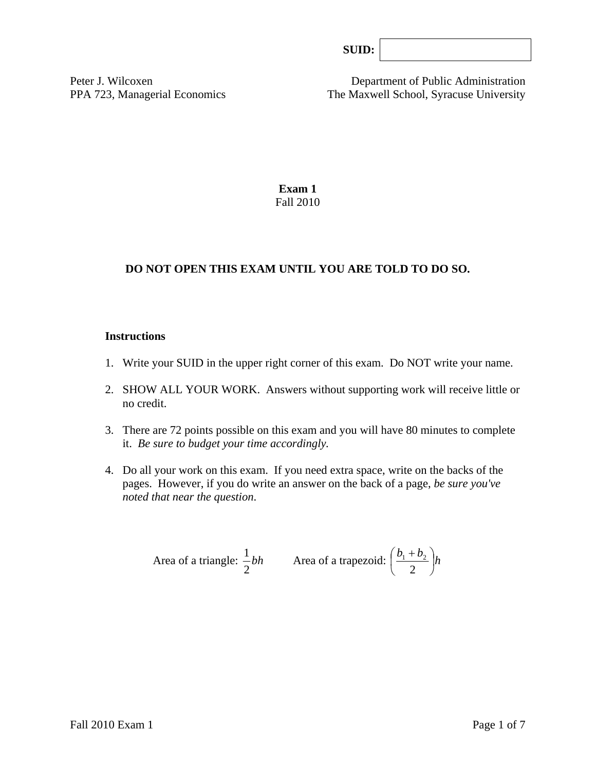| SUB: |  |
|------|--|
|      |  |

Peter J. Wilcoxen Department of Public Administration PPA 723, Managerial Economics The Maxwell School, Syracuse University

> **Exam 1**  Fall 2010

# **DO NOT OPEN THIS EXAM UNTIL YOU ARE TOLD TO DO SO.**

#### **Instructions**

- 1. Write your SUID in the upper right corner of this exam. Do NOT write your name.
- 2. SHOW ALL YOUR WORK. Answers without supporting work will receive little or no credit.
- 3. There are 72 points possible on this exam and you will have 80 minutes to complete it. *Be sure to budget your time accordingly.*
- 4. Do all your work on this exam. If you need extra space, write on the backs of the pages. However, if you do write an answer on the back of a page, *be sure you've noted that near the question*.

Area of a triangle: 
$$
\frac{1}{2}bh
$$
 Area of a trapezoid:  $\left(\frac{b_1 + b_2}{2}\right)h$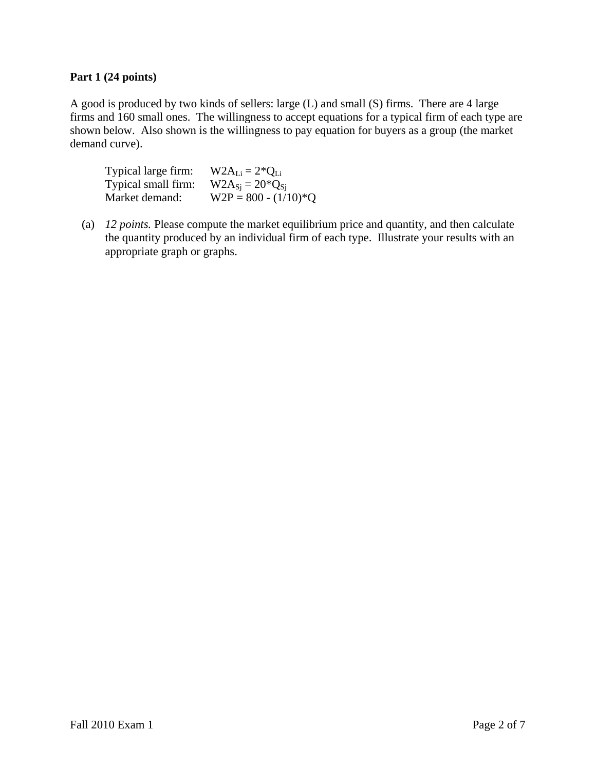# **Part 1 (24 points)**

A good is produced by two kinds of sellers: large (L) and small (S) firms. There are 4 large firms and 160 small ones. The willingness to accept equations for a typical firm of each type are shown below. Also shown is the willingness to pay equation for buyers as a group (the market demand curve).

| Typical large firm: | $W2A_{Li} = 2*Q_{Li}$  |
|---------------------|------------------------|
| Typical small firm: | $W2A_{Si} = 20*Q_{Si}$ |
| Market demand:      | $W2P = 800 - (1/10)*Q$ |

(a) *12 points.* Please compute the market equilibrium price and quantity, and then calculate the quantity produced by an individual firm of each type. Illustrate your results with an appropriate graph or graphs.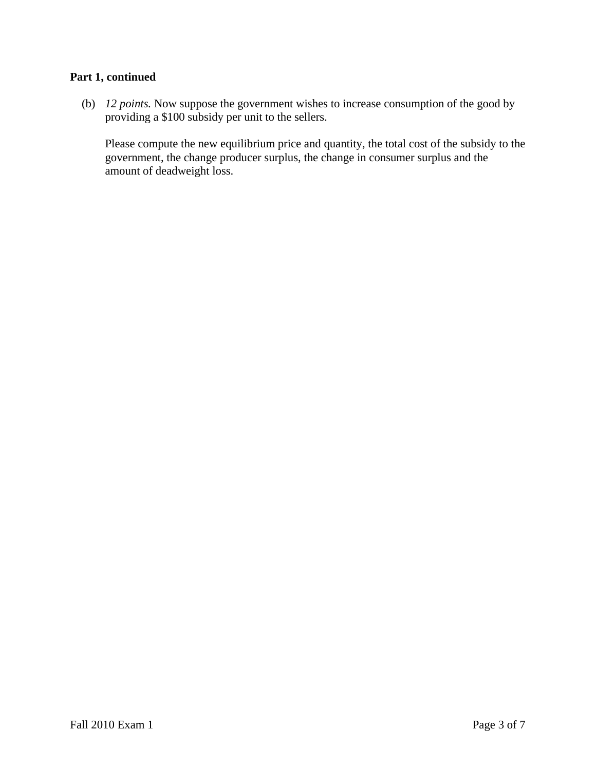# **Part 1, continued**

(b) *12 points.* Now suppose the government wishes to increase consumption of the good by providing a \$100 subsidy per unit to the sellers.

Please compute the new equilibrium price and quantity, the total cost of the subsidy to the government, the change producer surplus, the change in consumer surplus and the amount of deadweight loss.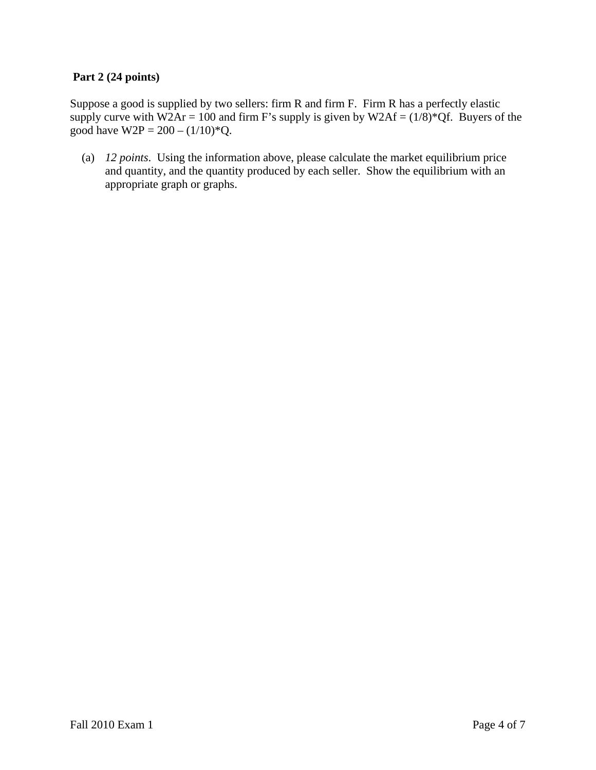# **Part 2 (24 points)**

Suppose a good is supplied by two sellers: firm R and firm F. Firm R has a perfectly elastic supply curve with W2Ar = 100 and firm F's supply is given by W2Af =  $(1/8)^*Qf$ . Buyers of the good have  $W2P = 200 - (1/10)^*Q$ .

 (a) *12 points*. Using the information above, please calculate the market equilibrium price and quantity, and the quantity produced by each seller. Show the equilibrium with an appropriate graph or graphs.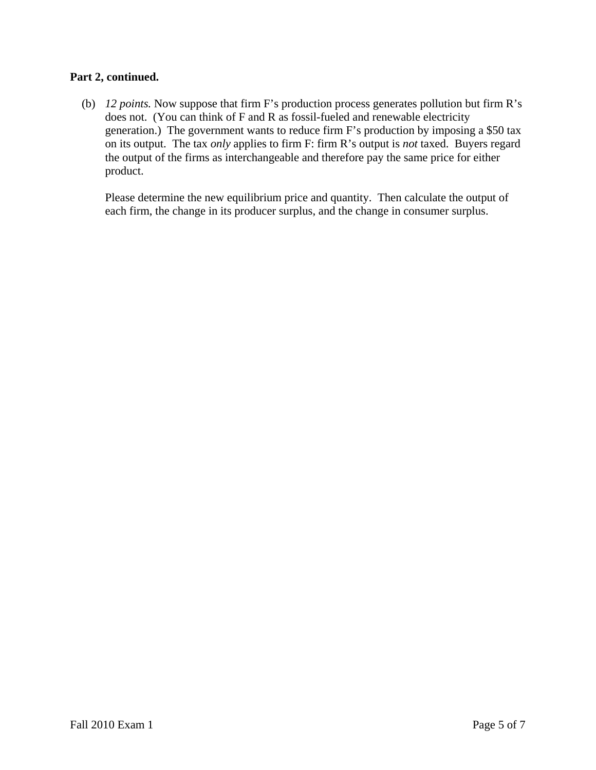#### **Part 2, continued.**

 (b) *12 points.* Now suppose that firm F's production process generates pollution but firm R's does not. (You can think of F and R as fossil-fueled and renewable electricity generation.) The government wants to reduce firm F's production by imposing a \$50 tax on its output. The tax *only* applies to firm F: firm R's output is *not* taxed. Buyers regard the output of the firms as interchangeable and therefore pay the same price for either product.

Please determine the new equilibrium price and quantity. Then calculate the output of each firm, the change in its producer surplus, and the change in consumer surplus.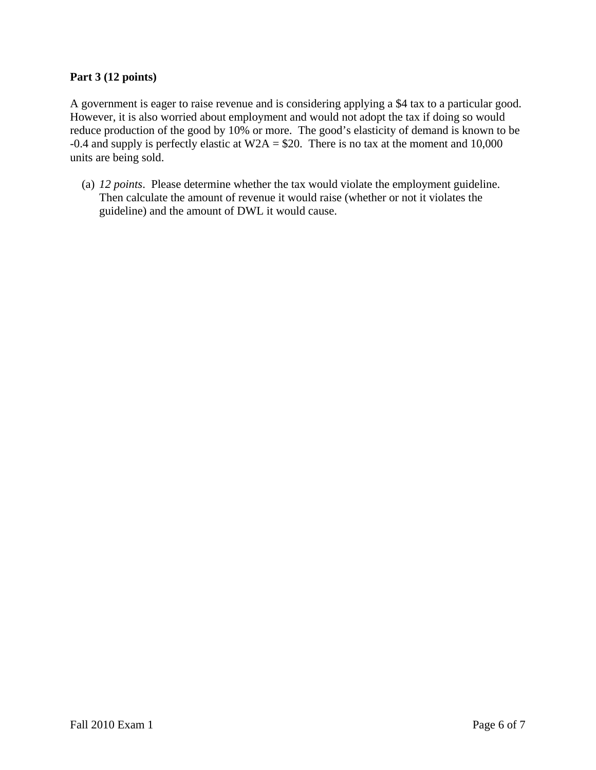## **Part 3 (12 points)**

A government is eager to raise revenue and is considering applying a \$4 tax to a particular good. However, it is also worried about employment and would not adopt the tax if doing so would reduce production of the good by 10% or more. The good's elasticity of demand is known to be -0.4 and supply is perfectly elastic at  $W2A = $20$ . There is no tax at the moment and 10,000 units are being sold.

(a) *12 points*. Please determine whether the tax would violate the employment guideline. Then calculate the amount of revenue it would raise (whether or not it violates the guideline) and the amount of DWL it would cause.